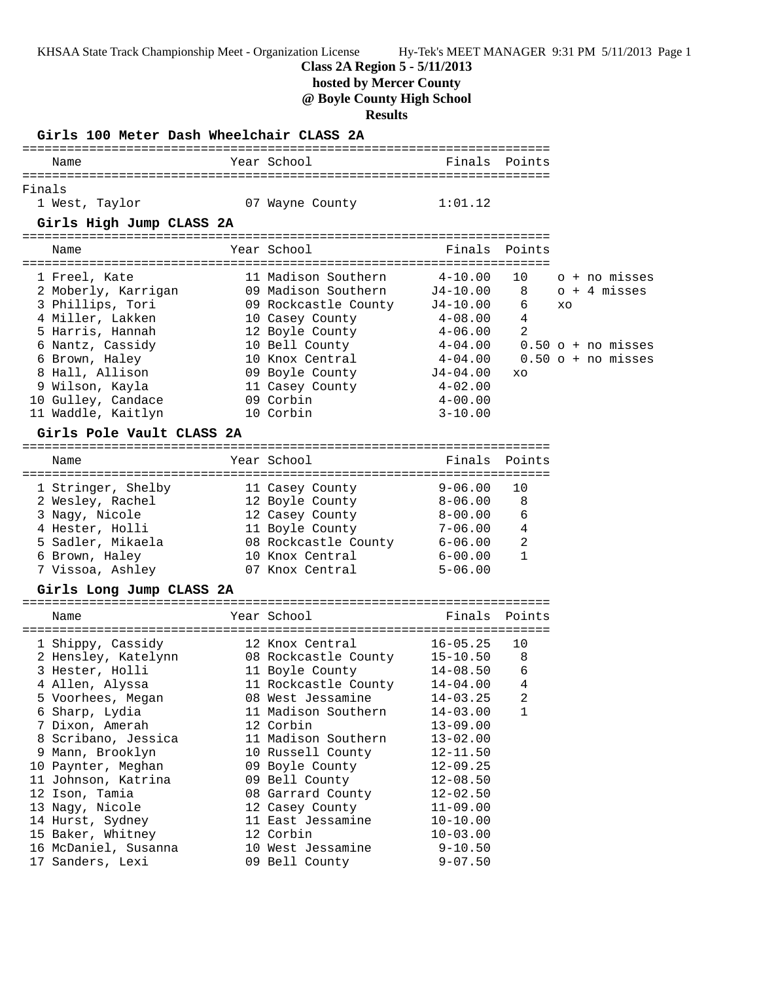**Class 2A Region 5 - 5/11/2013**

**hosted by Mercer County**

**@ Boyle County High School**

**Results**

|                           | Girls 100 Meter Dash Wheelchair CLASS 2A               |              |               |                            |
|---------------------------|--------------------------------------------------------|--------------|---------------|----------------------------|
| Name                      | Year School                                            |              | Finals Points |                            |
| Finals                    |                                                        |              |               |                            |
| 1 West, Taylor            | 07 Wayne County                                        | 1:01.12      |               |                            |
| Girls High Jump CLASS 2A  |                                                        |              |               |                            |
| Name                      | Year School                                            | Finals       | Points        |                            |
|                           | 11 Madison Southern                                    |              | 10            | o + no misses              |
| 1 Freel, Kate             |                                                        | 4-10.00      |               |                            |
| 2 Moberly, Karrigan       | 09 Madison Southern                                    | J4-10.00     | 8             | o + 4 misses               |
| 3 Phillips, Tori          | 09 Rockcastle County                                   | $J4 - 10.00$ | 6             | XO                         |
| 4 Miller, Lakken          | 10 Casey County $4-08.00$<br>12 Boyle County $4-06.00$ |              | 4             |                            |
| 5 Harris, Hannah          |                                                        |              | 2             |                            |
| 6 Nantz, Cassidy          | $10$ Bell County                                       | $4 - 04.00$  |               | $0.50$ $\circ$ + no misses |
| 6 Brown, Haley            | 10 Knox Central                                        | $4 - 04.00$  |               | $0.50 \circ +$ no misses   |
| 8 Hall, Allison           | 09 Boyle County                                        | J4-04.00     | XO            |                            |
| 9 Wilson, Kayla           | 11 Casey County                                        | $4-02.00$    |               |                            |
| 10 Gulley, Candace        | 09 Corbin                                              | 4-00.00      |               |                            |
| 11 Waddle, Kaitlyn        | 10 Corbin                                              | $3 - 10.00$  |               |                            |
| Girls Pole Vault CLASS 2A |                                                        |              |               |                            |
| Name                      | Year School                                            | Finals       | Points        |                            |
| 1 Stringer, Shelby        | 11 Casey County                                        | $9 - 06.00$  | 10            |                            |
| 2 Wesley, Rachel          | 12 Boyle County                                        | $8 - 06.00$  | 8             |                            |
| 3 Nagy, Nicole            | 12 Casey County                                        | $8 - 00.00$  | 6             |                            |
| 4 Hester, Holli           | 11 Boyle County                                        | 7-06.00      | 4             |                            |
| 5 Sadler, Mikaela         | 08 Rockcastle County 6-06.00                           |              | 2             |                            |
| 6 Brown, Haley            | 10 Knox Central                                        | 6-00.00      | 1             |                            |
| 7 Vissoa, Ashley          | 07 Knox Central                                        | 5-06.00      |               |                            |
| Girls Long Jump CLASS 2A  |                                                        |              |               |                            |
|                           |                                                        |              |               |                            |
| Name                      | Year School                                            | Finals       | Points        |                            |
|                           |                                                        |              |               |                            |
| 1 Shippy, Cassidy         | 12 Knox Central                                        | $16 - 05.25$ | 10            |                            |
| 2 Hensley, Katelynn       | 08 Rockcastle County 15-10.50                          |              | 8             |                            |
| 3 Hester, Holli           | 11 Boyle County                                        | 14-08.50     | 6             |                            |
| 4 Allen, Alyssa           | 11 Rockcastle County                                   | $14 - 04.00$ | 4             |                            |
| 5 Voorhees, Megan         | 08 West Jessamine                                      | $14 - 03.25$ | 2             |                            |
| 6 Sharp, Lydia            | 11 Madison Southern                                    | $14 - 03.00$ | 1             |                            |
| 7 Dixon, Amerah           | 12 Corbin                                              | $13 - 09.00$ |               |                            |
| 8 Scribano, Jessica       | 11 Madison Southern                                    | $13 - 02.00$ |               |                            |
| 9 Mann, Brooklyn          | 10 Russell County                                      | 12-11.50     |               |                            |
| 10 Paynter, Meghan        | 09 Boyle County                                        | $12 - 09.25$ |               |                            |
| 11 Johnson, Katrina       | 09 Bell County                                         | $12 - 08.50$ |               |                            |
| 12 Ison, Tamia            | 08 Garrard County                                      | $12 - 02.50$ |               |                            |
| 13 Nagy, Nicole           | 12 Casey County                                        | $11 - 09.00$ |               |                            |
| 14 Hurst, Sydney          | 11 East Jessamine                                      | $10 - 10.00$ |               |                            |
| 15 Baker, Whitney         | 12 Corbin                                              | $10 - 03.00$ |               |                            |
| 16 McDaniel, Susanna      | 10 West Jessamine                                      | $9 - 10.50$  |               |                            |
| 17 Sanders, Lexi          | 09 Bell County                                         | $9 - 07.50$  |               |                            |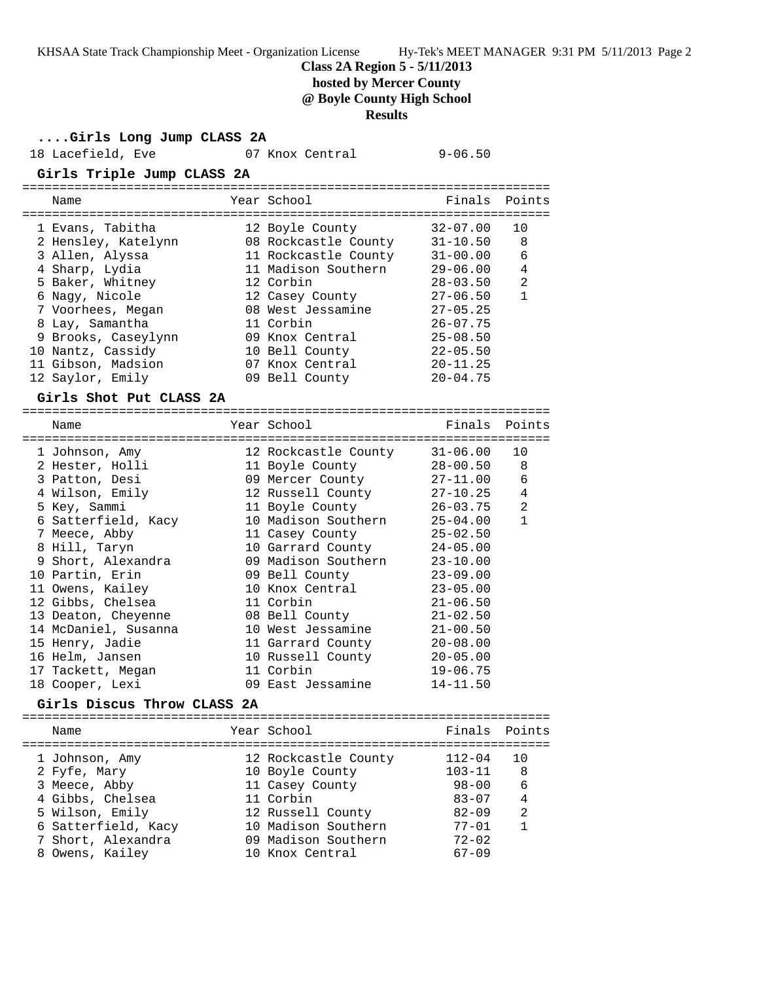**Class 2A Region 5 - 5/11/2013**

## **hosted by Mercer County**

**@ Boyle County High School**

### **Results**

| Girls Long Jump CLASS 2A    |  |                                     |              |              |  |  |  |
|-----------------------------|--|-------------------------------------|--------------|--------------|--|--|--|
| 18 Lacefield, Eve           |  | 07 Knox Central                     | $9 - 06.50$  |              |  |  |  |
| Girls Triple Jump CLASS 2A  |  |                                     |              |              |  |  |  |
| Name                        |  | Year School                         | Finals       | Points       |  |  |  |
|                             |  |                                     |              |              |  |  |  |
| 1 Evans, Tabitha            |  | 12 Boyle County                     | $32 - 07.00$ | 10           |  |  |  |
| 2 Hensley, Katelynn         |  | 08 Rockcastle County                | $31 - 10.50$ | 8            |  |  |  |
| 3 Allen, Alyssa             |  | 11 Rockcastle County                | $31 - 00.00$ | 6            |  |  |  |
| 4 Sharp, Lydia              |  | 11 Madison Southern                 | $29 - 06.00$ | 4            |  |  |  |
| 5 Baker, Whitney            |  | 12 Corbin                           | $28 - 03.50$ | 2            |  |  |  |
| 6 Nagy, Nicole              |  | 12 Casey County                     | $27 - 06.50$ | $\mathbf{1}$ |  |  |  |
| 7 Voorhees, Megan           |  | 08 West Jessamine                   | $27 - 05.25$ |              |  |  |  |
| 8 Lay, Samantha             |  | 11 Corbin                           | $26 - 07.75$ |              |  |  |  |
| 9 Brooks, Caseylynn         |  | 09 Knox Central                     | $25 - 08.50$ |              |  |  |  |
| 10 Nantz, Cassidy           |  | 10 Bell County                      | $22 - 05.50$ |              |  |  |  |
| 11 Gibson, Madsion          |  | 07 Knox Central                     | $20 - 11.25$ |              |  |  |  |
| 12 Saylor, Emily            |  | 09 Bell County                      | $20 - 04.75$ |              |  |  |  |
| Girls Shot Put CLASS 2A     |  |                                     |              |              |  |  |  |
|                             |  |                                     |              |              |  |  |  |
| Name                        |  | Year School                         | Finals       | Points       |  |  |  |
| 1 Johnson, Amy              |  | 12 Rockcastle County                | $31 - 06.00$ | 10           |  |  |  |
| 2 Hester, Holli             |  |                                     | $28 - 00.50$ | 8            |  |  |  |
| 3 Patton, Desi              |  | 11 Boyle County<br>09 Mercer County | $27 - 11.00$ | 6            |  |  |  |
| 4 Wilson, Emily             |  | 12 Russell County                   |              | 4            |  |  |  |
|                             |  |                                     | 27-10.25     | 2            |  |  |  |
| 5 Key, Sammi                |  | 11 Boyle County                     | $26 - 03.75$ |              |  |  |  |
| 6 Satterfield, Kacy         |  | 10 Madison Southern                 | $25 - 04.00$ | $\mathbf{1}$ |  |  |  |
| 7 Meece, Abby               |  | 11 Casey County                     | $25 - 02.50$ |              |  |  |  |
| 8 Hill, Taryn               |  | 10 Garrard County                   | $24 - 05.00$ |              |  |  |  |
| 9 Short, Alexandra          |  | 09 Madison Southern                 | $23 - 10.00$ |              |  |  |  |
| 10 Partin, Erin             |  | 09 Bell County                      | $23 - 09.00$ |              |  |  |  |
| 11 Owens, Kailey            |  | 10 Knox Central                     | $23 - 05.00$ |              |  |  |  |
| 12 Gibbs, Chelsea           |  | 11 Corbin                           | $21 - 06.50$ |              |  |  |  |
| 13 Deaton, Cheyenne         |  | 08 Bell County                      | $21 - 02.50$ |              |  |  |  |
| 14 McDaniel, Susanna        |  | 10 West Jessamine                   | $21 - 00.50$ |              |  |  |  |
| 15 Henry, Jadie             |  | 11 Garrard County                   | $20 - 08.00$ |              |  |  |  |
| 16 Helm, Jansen             |  | 10 Russell County                   | $20 - 05.00$ |              |  |  |  |
| 17 Tackett, Megan           |  | 11 Corbin                           | $19 - 06.75$ |              |  |  |  |
| 18 Cooper, Lexi             |  | 09 East Jessamine                   | $14 - 11.50$ |              |  |  |  |
| Girls Discus Throw CLASS 2A |  |                                     |              |              |  |  |  |
| Name                        |  | Year School                         | Finals       | Points       |  |  |  |
|                             |  |                                     |              |              |  |  |  |
| 1 Johnson, Amy              |  | 12 Rockcastle County                | $112 - 04$   | 10           |  |  |  |
| 2 Fyfe, Mary                |  | 10 Boyle County                     | $103 - 11$   | 8            |  |  |  |
| 3 Meece, Abby               |  | 11 Casey County                     | $98 - 00$    | 6            |  |  |  |
| 4 Gibbs, Chelsea            |  | 11 Corbin                           | $83 - 07$    | 4            |  |  |  |

 5 Wilson, Emily 12 Russell County 82-09 2 6 Satterfield, Kacy 10 Madison Southern 77-01 1 7 Short, Alexandra 09 Madison Southern 72-02 8 Owens, Kailey 10 Knox Central 67-09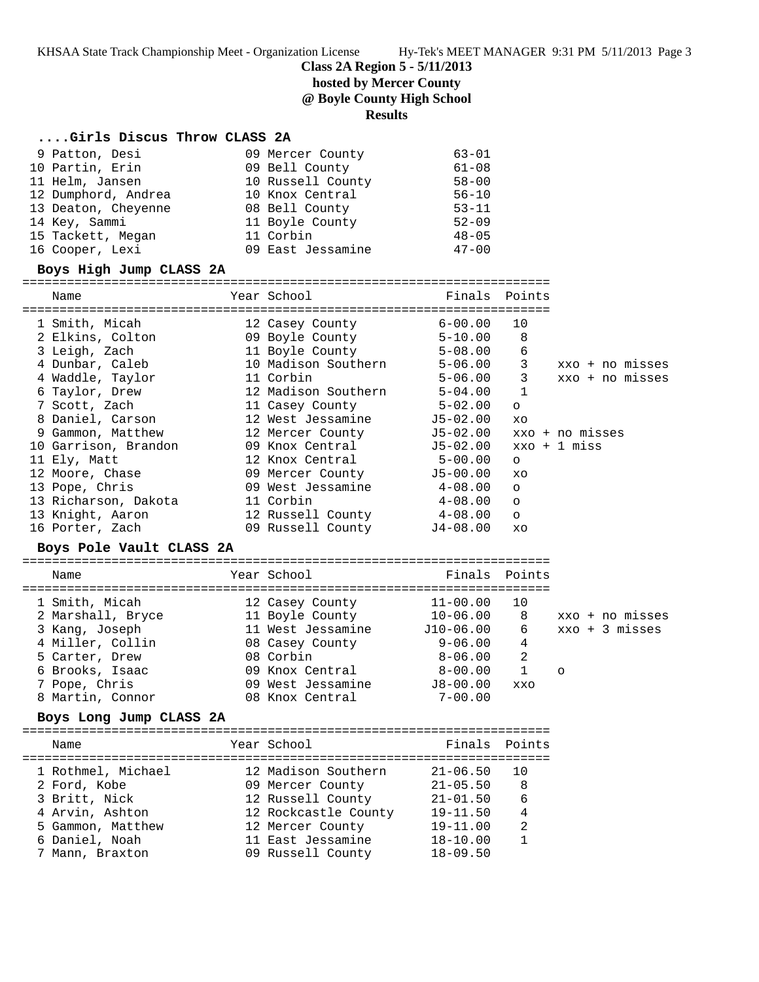#### **Class 2A Region 5 - 5/11/2013**

**hosted by Mercer County**

**@ Boyle County High School**

#### **Results**

#### **....Girls Discus Throw CLASS 2A**

| 9 Patton, Desi      | 09 Mercer County  | $63 - 01$ |
|---------------------|-------------------|-----------|
| 10 Partin, Erin     | 09 Bell County    | $61 - 08$ |
| 11 Helm, Jansen     | 10 Russell County | $58 - 00$ |
| 12 Dumphord, Andrea | 10 Knox Central   | $56 - 10$ |
| 13 Deaton, Cheyenne | 08 Bell County    | $53 - 11$ |
| 14 Key, Sammi       | 11 Boyle County   | $52 - 09$ |
| 15 Tackett, Megan   | 11 Corbin         | $48 - 05$ |
| 16 Cooper, Lexi     | 09 East Jessamine | $47 - 00$ |

 16 Cooper, Lexi 09 East Jessamine 47-00 **Boys High Jump CLASS 2A** ======================================================================= Name The Year School Team Points Points ======================================================================= 1 Smith, Micah 12 Casey County 6-00.00 10 2 Elkins, Colton 09 Boyle County 5-10.00 8 3 Leigh, Zach 11 Boyle County 5-08.00 6 4 Dunbar, Caleb 10 Madison Southern 5-06.00 3 xxo + no misses 4 Waddle, Taylor 11 Corbin 5-06.00 3 xxo + no misses 6 Taylor, Drew 12 Madison Southern 5-04.00 1 7 Scott, Zach 11 Casey County 5-02.00 o 8 Daniel, Carson 12 West Jessamine J5-02.00 xo 9 Gammon, Matthew 12 Mercer County J5-02.00 xxo + no misses 10 Garrison, Brandon 09 Knox Central J5-02.00 xxo + 1 miss 11 Ely, Matt 12 Knox Central 5-00.00 o 12 Moore, Chase 09 Mercer County J5-00.00 xo 13 Pope, Chris 09 West Jessamine 4-08.00 o 13 Richarson, Dakota 11 Corbin 4-08.00 o 13 Knight, Aaron 12 Russell County 4-08.00 o 16 Porter, Zach 09 Russell County J4-08.00 xo

#### **Boys Pole Vault CLASS 2A**

| Name                                                                                                                            | Year School                                                                                                                     | Finals Points                                                                                            |                                      |                                                 |
|---------------------------------------------------------------------------------------------------------------------------------|---------------------------------------------------------------------------------------------------------------------------------|----------------------------------------------------------------------------------------------------------|--------------------------------------|-------------------------------------------------|
| 1 Smith, Micah<br>2 Marshall, Bryce<br>3 Kang, Joseph<br>4 Miller, Collin<br>5 Carter, Drew<br>6 Brooks, Isaac<br>7 Pope, Chris | 12 Casey County<br>11 Boyle County<br>11 West Jessamine<br>08 Casey County<br>08 Corbin<br>09 Knox Central<br>09 West Jessamine | $11 - 00.00$<br>$10 - 06.00$<br>$J10-06.00$<br>$9 - 06.00$<br>$8 - 06.00$<br>$8 - 00.00$<br>$J8 - 00.00$ | 10<br>8<br>6<br>4<br>2<br><b>XXO</b> | xxo + no misses<br>$xxo + 3$ misses<br>$\Omega$ |
| 8 Martin, Connor                                                                                                                | 08 Knox Central                                                                                                                 | $7 - 00.00$                                                                                              |                                      |                                                 |
|                                                                                                                                 |                                                                                                                                 |                                                                                                          |                                      |                                                 |

#### **Boys Long Jump CLASS 2A**

======================================================================= Name The Year School The Finals Points ======================================================================= 1 Rothmel, Michael 12 Madison Southern 21-06.50 10 2 Ford, Kobe 09 Mercer County 21-05.50 8 3 Britt, Nick 12 Russell County 21-01.50 6 4 Arvin, Ashton 12 Rockcastle County 19-11.50 4 5 Gammon, Matthew 12 Mercer County 19-11.00 2 6 Daniel, Noah 11 East Jessamine 18-10.00 1 7 Mann, Braxton 09 Russell County 18-09.50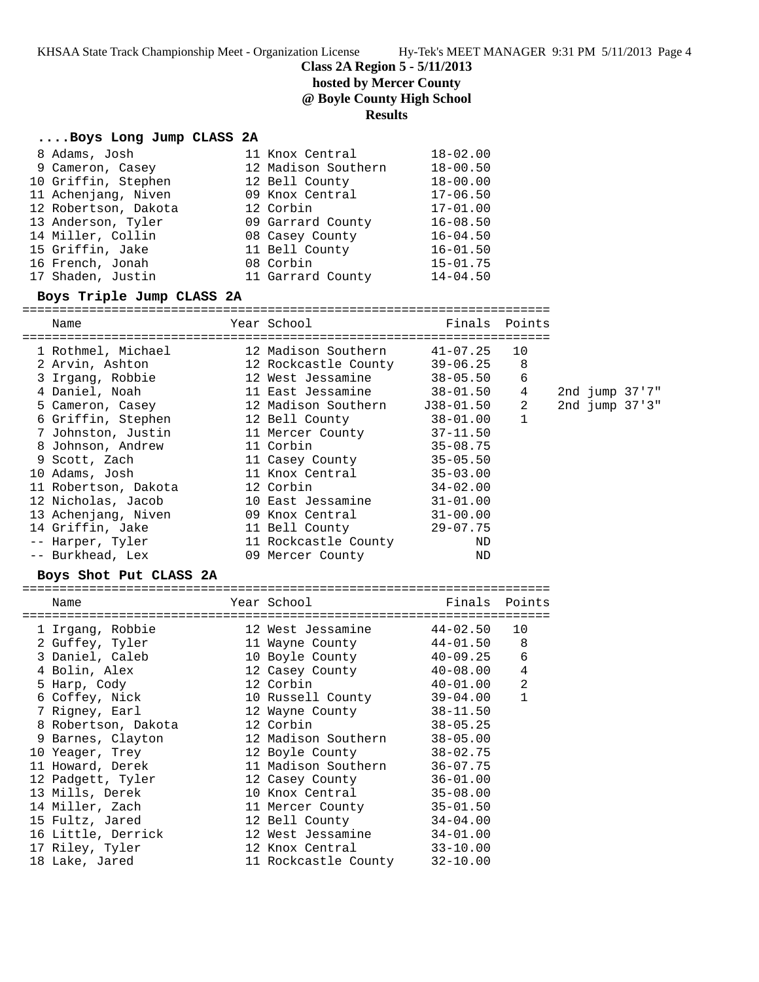## **Class 2A Region 5 - 5/11/2013**

# **hosted by Mercer County**

**@ Boyle County High School**

### **Results**

### **....Boys Long Jump CLASS 2A**

| 8 Adams, Josh        | 11 Knox Central     | $18 - 02.00$ |
|----------------------|---------------------|--------------|
| 9 Cameron, Casey     | 12 Madison Southern | $18 - 00.50$ |
| 10 Griffin, Stephen  | 12 Bell County      | $18 - 00.00$ |
| 11 Achenjang, Niven  | 09 Knox Central     | $17 - 06.50$ |
| 12 Robertson, Dakota | 12 Corbin           | $17 - 01.00$ |
| 13 Anderson, Tyler   | 09 Garrard County   | $16 - 08.50$ |
| 14 Miller, Collin    | 08 Casey County     | $16 - 04.50$ |
| 15 Griffin, Jake     | 11 Bell County      | $16 - 01.50$ |
| 16 French, Jonah     | 08 Corbin           | $15 - 01.75$ |
| 17 Shaden, Justin    | 11 Garrard County   | $14 - 04.50$ |

### **Boys Triple Jump CLASS 2A**

=======================================================================

| Name                                             | Year School                                         | Finals Points |              |  |                  |
|--------------------------------------------------|-----------------------------------------------------|---------------|--------------|--|------------------|
| ==========================<br>1 Rothmel, Michael | ============================<br>12 Madison Southern | 41-07.25      | 10           |  |                  |
| 2 Arvin, Ashton                                  | 12 Rockcastle County                                | $39 - 06.25$  | 8            |  |                  |
| 3 Irgang, Robbie                                 | 12 West Jessamine                                   | $38 - 05.50$  | 6            |  |                  |
| 4 Daniel, Noah                                   | 11 East Jessamine                                   | 38-01.50      | 4            |  | 2nd jump 37'7"   |
| 5 Cameron, Casey                                 | 12 Madison Southern                                 | J38-01.50     | 2            |  | 2nd $jump$ 37'3" |
| 6 Griffin, Stephen                               | 12 Bell County                                      | $38 - 01.00$  | $\mathbf{1}$ |  |                  |
| 7 Johnston, Justin                               | 11 Mercer County                                    | $37 - 11.50$  |              |  |                  |
| 8 Johnson, Andrew                                | 11 Corbin                                           | $35 - 08.75$  |              |  |                  |
| 9 Scott, Zach                                    | 11 Casey County                                     | $35 - 05.50$  |              |  |                  |
| 10 Adams, Josh                                   | 11 Knox Central                                     | $35 - 03.00$  |              |  |                  |
| 11 Robertson, Dakota                             | 12 Corbin                                           | $34 - 02.00$  |              |  |                  |
| 12 Nicholas, Jacob                               | 10 East Jessamine                                   | $31 - 01.00$  |              |  |                  |
| 13 Achenjang, Niven                              | 09 Knox Central                                     | $31 - 00.00$  |              |  |                  |
| 14 Griffin, Jake                                 | 11 Bell County                                      | $29 - 07.75$  |              |  |                  |
| -- Harper, Tyler                                 | 11 Rockcastle County                                | ND            |              |  |                  |
| -- Burkhead, Lex                                 | 09 Mercer County                                    | ND            |              |  |                  |

### **Boys Shot Put CLASS 2A**

| Name                | Year School                  | Finals       | Points       |
|---------------------|------------------------------|--------------|--------------|
| 1 Irgang, Robbie    | 12 West Jessamine            | 44-02.50     | 10           |
| 2 Guffey, Tyler     | 11 Wayne County              | $44 - 01.50$ | 8            |
| 3 Daniel, Caleb     | 10 Boyle County              | 40-09.25     | 6            |
| 4 Bolin, Alex       | $12$ Casey County $40-08.00$ |              | 4            |
| 5 Harp, Cody        | 12 Corbin                    | $40 - 01.00$ | 2            |
| 6 Coffey, Nick      | 10 Russell County            | $39 - 04.00$ | $\mathbf{1}$ |
| 7 Rigney, Earl      | 12 Wayne County              | $38 - 11.50$ |              |
| 8 Robertson, Dakota | 12 Corbin                    | $38 - 05.25$ |              |
| 9 Barnes, Clayton   | 12 Madison Southern          | $38 - 05.00$ |              |
| 10 Yeager, Trey     | 12 Boyle County              | $38 - 02.75$ |              |
| 11 Howard, Derek    | 11 Madison Southern          | $36 - 07.75$ |              |
| 12 Padgett, Tyler   | 12 Casey County              | $36 - 01.00$ |              |
| 13 Mills, Derek     | 10 Knox Central              | $35 - 08.00$ |              |
| 14 Miller, Zach     | 11 Mercer County             | $35 - 01.50$ |              |
| 15 Fultz, Jared     | 12 Bell County               | $34 - 04.00$ |              |
| 16 Little, Derrick  | 12 West Jessamine            | $34 - 01.00$ |              |
| 17 Riley, Tyler     | 12 Knox Central              | $33 - 10.00$ |              |
| 18 Lake, Jared      | 11 Rockcastle County         | $32 - 10.00$ |              |
|                     |                              |              |              |